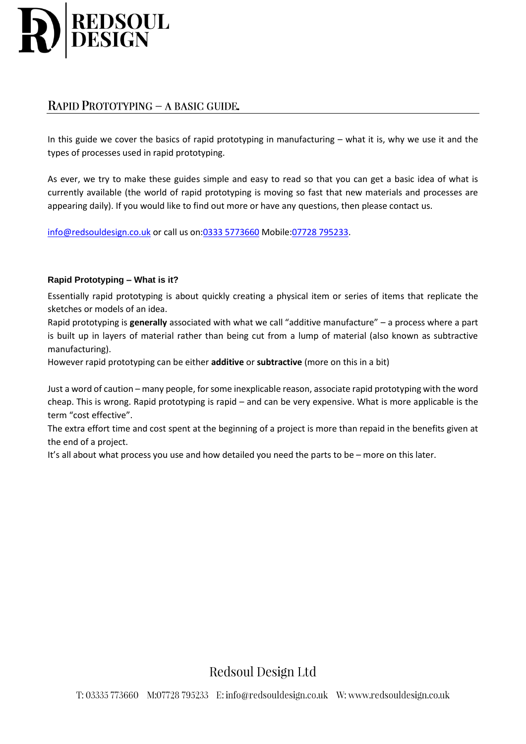

# RAPID PROTOTYPING - A BASIC GUIDE.

In this guide we cover the basics of rapid prototyping in manufacturing – what it is, why we use it and the types of processes used in rapid prototyping.

As ever, we try to make these guides simple and easy to read so that you can get a basic idea of what is currently available (the world of rapid prototyping is moving so fast that new materials and processes are appearing daily). If you would like to find out more or have any questions, then please contact us.

[info@redsouldesign.co.uk](mailto:info@redsouldesign.co.uk) or call us on[:0333 5773660](tel:03335773660) Mobile[:07728 795233.](tel:07728795233)

## **Rapid Prototyping – What is it?**

Essentially rapid prototyping is about quickly creating a physical item or series of items that replicate the sketches or models of an idea.

Rapid prototyping is **generally** associated with what we call "additive manufacture" – a process where a part is built up in layers of material rather than being cut from a lump of material (also known as subtractive manufacturing).

However rapid prototyping can be either **additive** or **subtractive** (more on this in a bit)

Just a word of caution – many people, for some inexplicable reason, associate rapid prototyping with the word cheap. This is wrong. Rapid prototyping is rapid – and can be very expensive. What is more applicable is the term "cost effective".

The extra effort time and cost spent at the beginning of a project is more than repaid in the benefits given at the end of a project.

It's all about what process you use and how detailed you need the parts to be – more on this later.

Redsoul Design Ltd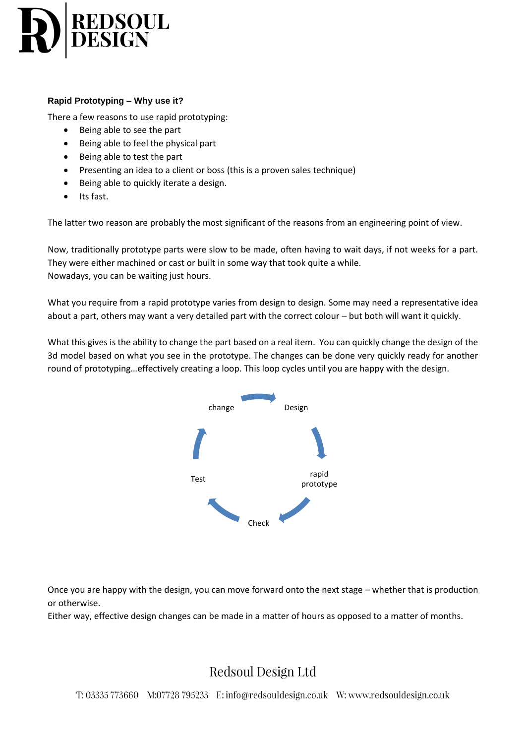

## **Rapid Prototyping – Why use it?**

There a few reasons to use rapid prototyping:

- Being able to see the part
- Being able to feel the physical part
- Being able to test the part
- Presenting an idea to a client or boss (this is a proven sales technique)
- Being able to quickly iterate a design.
- Its fast.

The latter two reason are probably the most significant of the reasons from an engineering point of view.

Now, traditionally prototype parts were slow to be made, often having to wait days, if not weeks for a part. They were either machined or cast or built in some way that took quite a while. Nowadays, you can be waiting just hours.

What you require from a rapid prototype varies from design to design. Some may need a representative idea about a part, others may want a very detailed part with the correct colour – but both will want it quickly.

What this gives is the ability to change the part based on a real item. You can quickly change the design of the 3d model based on what you see in the prototype. The changes can be done very quickly ready for another round of prototyping…effectively creating a loop. This loop cycles until you are happy with the design.



Once you are happy with the design, you can move forward onto the next stage – whether that is production or otherwise.

Either way, effective design changes can be made in a matter of hours as opposed to a matter of months.

# Redsoul Design Ltd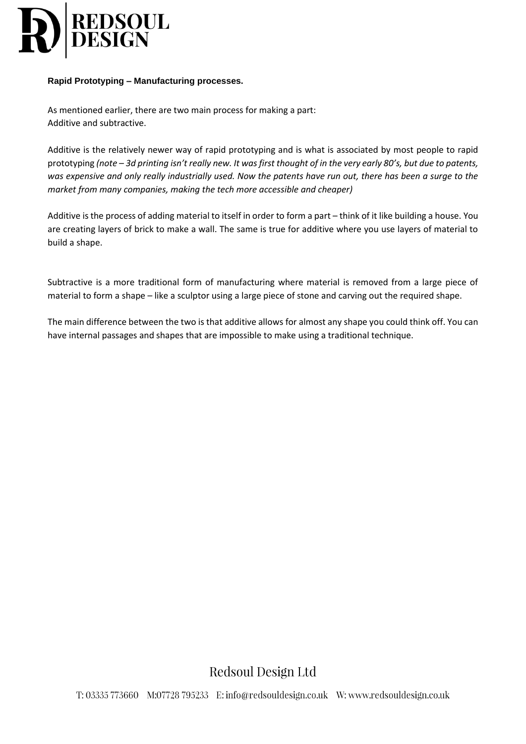

#### **Rapid Prototyping – Manufacturing processes.**

As mentioned earlier, there are two main process for making a part: Additive and subtractive.

Additive is the relatively newer way of rapid prototyping and is what is associated by most people to rapid prototyping *(note – 3d printing isn't really new. It was first thought of in the very early 80's, but due to patents, was expensive and only really industrially used. Now the patents have run out, there has been a surge to the market from many companies, making the tech more accessible and cheaper)*

Additive is the process of adding material to itself in order to form a part – think of it like building a house. You are creating layers of brick to make a wall. The same is true for additive where you use layers of material to build a shape.

Subtractive is a more traditional form of manufacturing where material is removed from a large piece of material to form a shape – like a sculptor using a large piece of stone and carving out the required shape.

The main difference between the two is that additive allows for almost any shape you could think off. You can have internal passages and shapes that are impossible to make using a traditional technique.

Redsoul Design Ltd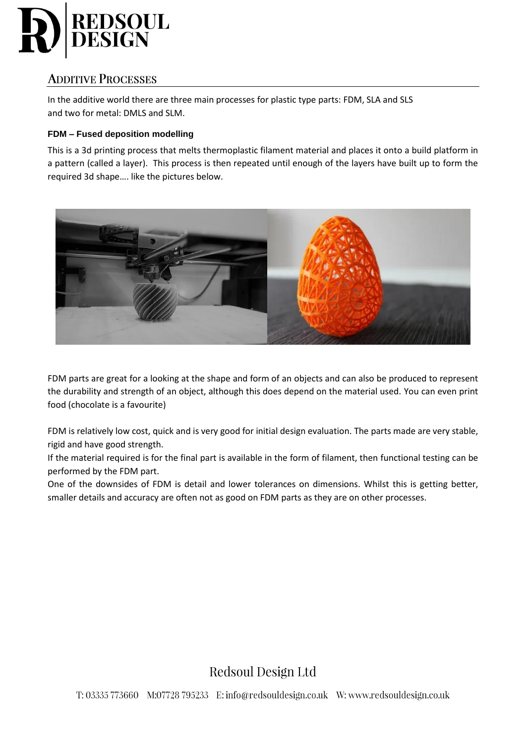

# **ADDITIVE PROCESSES**

In the additive world there are three main processes for plastic type parts: FDM, SLA and SLS and two for metal: DMLS and SLM.

## **FDM – Fused deposition modelling**

This is a 3d printing process that melts thermoplastic filament material and places it onto a build platform in a pattern (called a layer). This process is then repeated until enough of the layers have built up to form the required 3d shape…. like the pictures below.



FDM parts are great for a looking at the shape and form of an objects and can also be produced to represent the durability and strength of an object, although this does depend on the material used. You can even print food (chocolate is a favourite)

FDM is relatively low cost, quick and is very good for initial design evaluation. The parts made are very stable, rigid and have good strength.

If the material required is for the final part is available in the form of filament, then functional testing can be performed by the FDM part.

One of the downsides of FDM is detail and lower tolerances on dimensions. Whilst this is getting better, smaller details and accuracy are often not as good on FDM parts as they are on other processes.

Redsoul Design Ltd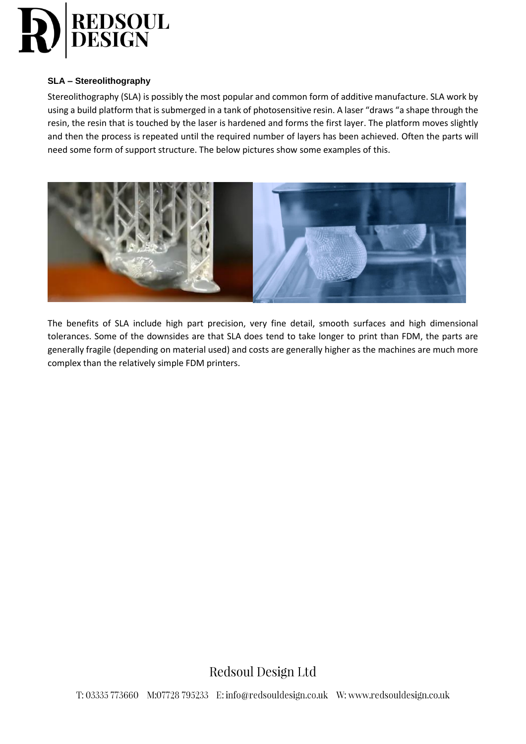

#### **SLA – Stereolithography**

Stereolithography (SLA) is possibly the most popular and common form of additive manufacture. SLA work by using a build platform that is submerged in a tank of photosensitive resin. A laser "draws "a shape through the resin, the resin that is touched by the laser is hardened and forms the first layer. The platform moves slightly and then the process is repeated until the required number of layers has been achieved. Often the parts will need some form of support structure. The below pictures show some examples of this.



The benefits of SLA include high part precision, very fine detail, smooth surfaces and high dimensional tolerances. Some of the downsides are that SLA does tend to take longer to print than FDM, the parts are generally fragile (depending on material used) and costs are generally higher as the machines are much more complex than the relatively simple FDM printers.

Redsoul Design Ltd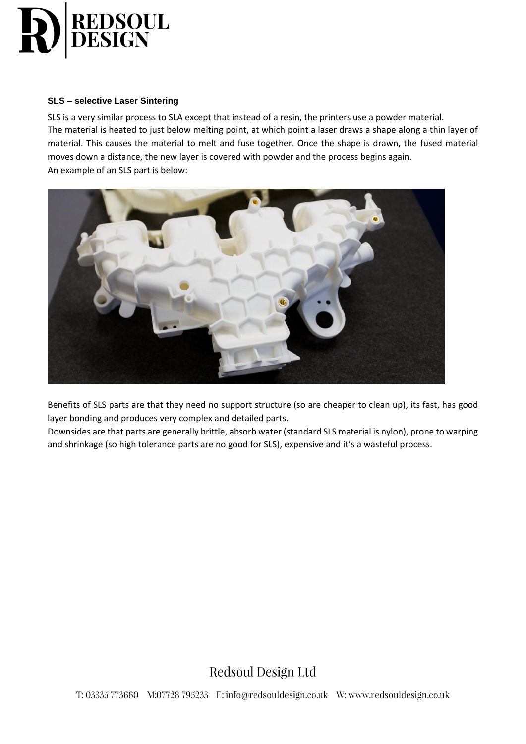

#### **SLS – selective Laser Sintering**

SLS is a very similar process to SLA except that instead of a resin, the printers use a powder material. The material is heated to just below melting point, at which point a laser draws a shape along a thin layer of material. This causes the material to melt and fuse together. Once the shape is drawn, the fused material moves down a distance, the new layer is covered with powder and the process begins again. An example of an SLS part is below:



Benefits of SLS parts are that they need no support structure (so are cheaper to clean up), its fast, has good layer bonding and produces very complex and detailed parts.

Downsides are that parts are generally brittle, absorb water (standard SLS material is nylon), prone to warping and shrinkage (so high tolerance parts are no good for SLS), expensive and it's a wasteful process.

Redsoul Design Ltd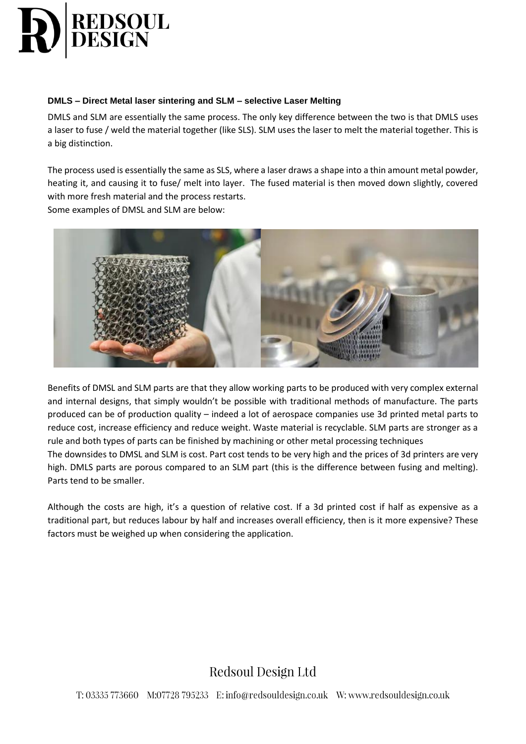

## **DMLS – Direct Metal laser sintering and SLM – selective Laser Melting**

DMLS and SLM are essentially the same process. The only key difference between the two is that DMLS uses a laser to fuse / weld the material together (like SLS). SLM uses the laser to melt the material together. This is a big distinction.

The process used is essentially the same as SLS, where a laser draws a shape into a thin amount metal powder, heating it, and causing it to fuse/ melt into layer. The fused material is then moved down slightly, covered with more fresh material and the process restarts.

Some examples of DMSL and SLM are below:



Benefits of DMSL and SLM parts are that they allow working parts to be produced with very complex external and internal designs, that simply wouldn't be possible with traditional methods of manufacture. The parts produced can be of production quality – indeed a lot of aerospace companies use 3d printed metal parts to reduce cost, increase efficiency and reduce weight. Waste material is recyclable. SLM parts are stronger as a rule and both types of parts can be finished by machining or other metal processing techniques The downsides to DMSL and SLM is cost. Part cost tends to be very high and the prices of 3d printers are very high. DMLS parts are porous compared to an SLM part (this is the difference between fusing and melting). Parts tend to be smaller.

Although the costs are high, it's a question of relative cost. If a 3d printed cost if half as expensive as a traditional part, but reduces labour by half and increases overall efficiency, then is it more expensive? These factors must be weighed up when considering the application.

# Redsoul Design Ltd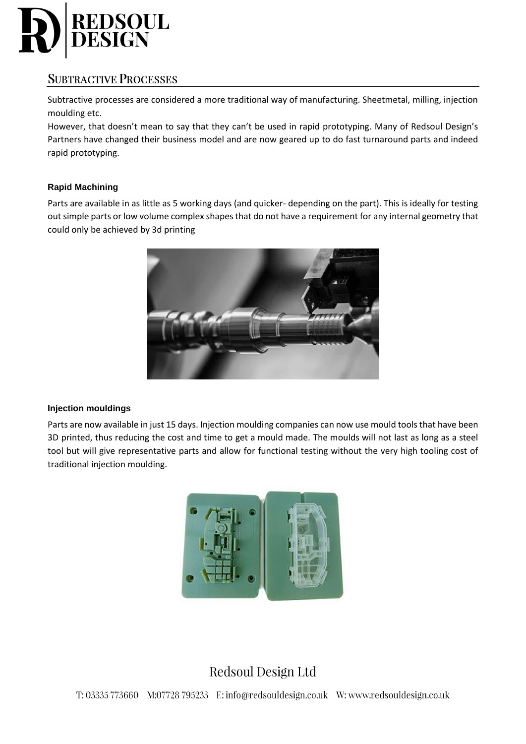

# **SUBTRACTIVE PROCESSES**

Subtractive processes are considered a more traditional way of manufacturing. Sheetmetal, milling, injection moulding etc.

However, that doesn't mean to say that they can't be used in rapid prototyping. Many of Redsoul Design's Partners have changed their business model and are now geared up to do fast turnaround parts and indeed rapid prototyping.

## **Rapid Machining**

Parts are available in as little as 5 working days (and quicker- depending on the part). This is ideally for testing out simple parts or low volume complex shapes that do not have a requirement for any internal geometry that could only be achieved by 3d printing



#### **Injection mouldings**

Parts are now available in just 15 days. Injection moulding companies can now use mould tools that have been 3D printed, thus reducing the cost and time to get a mould made. The moulds will not last as long as a steel tool but will give representative parts and allow for functional testing without the very high tooling cost of traditional injection moulding.



# Redsoul Design Ltd